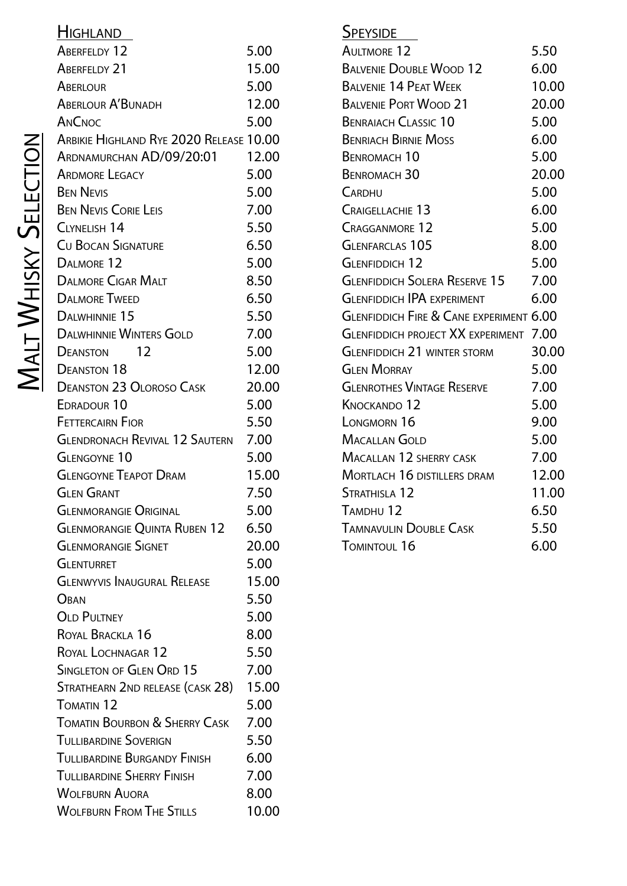| <u>Highland</u>                         |       |
|-----------------------------------------|-------|
| ABERFELDY 12                            | 5.00  |
| <b>ABERFELDY 21</b>                     | 15.00 |
| ABERLOUR                                | 5.00  |
| <b>ABERLOUR A'BUNADH</b>                | 12.00 |
| ANCNOC                                  | 5.00  |
| ARBIKIE HIGHLAND RYE 2020 RELEASE 10.00 |       |
| ARDNAMURCHAN AD/09/20:01                | 12.00 |
| <b>ARDMORE LEGACY</b>                   | 5.00  |
| <b>BEN NEVIS</b>                        | 5.00  |
| <b>BEN NEVIS CORIE LEIS</b>             | 7.00  |
| CLYNELISH 14                            | 5.50  |
| <b>CU BOCAN SIGNATURE</b>               | 6.50  |
| DALMORE 12                              | 5.00  |
| <b>DALMORE CIGAR MALT</b>               | 8.50  |
| <b>DALMORE TWEED</b>                    | 6.50  |
| DALWHINNIE 15                           | 5.50  |
| <b>DALWHINNIE WINTERS GOLD</b>          | 7.00  |
| 12<br>Deanston                          | 5.00  |
| <b>DEANSTON 18</b>                      | 12.00 |
| <b>DEANSTON 23 OLOROSO CASK</b>         | 20.00 |
| EDRADOUR <sub>10</sub>                  | 5.00  |
| <b>FETTERCAIRN FIOR</b>                 | 5.50  |
| GLENDRONACH REVIVAL 12 SAUTERN 7.00     |       |
| <b>GLENGOYNE 10</b>                     | 5.00  |
| <b>GLENGOYNE TEAPOT DRAM</b>            | 15.00 |
| Glen Grant                              | 7.50  |
| <b>GLENMORANGIE ORIGINAL</b>            | 5.00  |
| Glenmorangie Quinta Ruben 12            | 6.50  |
| <b>GLENMORANGIE SIGNET</b>              | 20.00 |
| GLENTURRET                              | 5.00  |
| <b>GLENWYVIS INAUGURAL RELEASE</b>      | 15.00 |
| Oban                                    | 5.50  |
| <b>OLD PULTNEY</b>                      | 5.00  |
| ROYAL BRACKLA 16                        | 8.00  |
| ROYAL LOCHNAGAR 12                      | 5.50  |
| SINGLETON OF GLEN ORD 15                | 7.00  |
| Strathearn 2nd release (cask 28)        | 15.00 |
| TOMATIN <sub>12</sub>                   | 5.00  |
| TOMATIN BOURBON & SHERRY CASK           | 7.00  |
| TULLIBARDINE SOVERIGN                   | 5.50  |
| TULLIBARDINE BURGANDY FINISH            | 6.00  |
| TULLIBARDINE SHERRY FINISH              | 7.00  |
| Wolfburn Auora                          | 8.00  |
| WOLFBURN FROM THE STILLS                | 10.00 |

| <b>SPEYSIDE</b>                                    |       |
|----------------------------------------------------|-------|
| <b>AULTMORE 12</b>                                 | 5.50  |
| <b>BALVENIE DOUBLE WOOD 12</b>                     | 6.00  |
| <b>BALVENIE 14 PEAT WEEK</b>                       | 10.00 |
| <b>BALVENIE PORT WOOD 21</b>                       | 20.00 |
| <b>BENRAIACH CLASSIC 10</b>                        | 5.00  |
| <b>BENRIACH BIRNIE MOSS</b>                        | 6.00  |
| <b>BENROMACH 10</b>                                | 5.00  |
| <b>BENROMACH 30</b>                                | 20.00 |
| CARDHU                                             | 5.00  |
| <b>CRAIGELLACHIE 13</b>                            | 6.00  |
| <b>CRAGGANMORE 12</b>                              | 5.00  |
| <b>GLENFARCLAS 105</b>                             | 8.00  |
| <b>GLENFIDDICH 12</b>                              | 5.00  |
| <b>GLENFIDDICH SOLERA RESERVE 15</b>               | 7.00  |
| <b>GI ENFIDDICH IPA EXPERIMENT</b>                 | 6.00  |
| <b>GLENFIDDICH FIRE &amp; CANE EXPERIMENT 6.00</b> |       |
| <b>GLENFIDDICH PROJECT XX EXPERIMENT 7.00</b>      |       |
| <b>GLENFIDDICH 21 WINTER STORM</b>                 | 30.00 |
| <b>GLEN MORRAY</b>                                 | 5.00  |
| <b>GLENROTHES VINTAGE RESERVE</b>                  | 7.00  |
| <b>KNOCKANDO 12</b>                                | 5.00  |
| LONGMORN 16                                        | 9.00  |
| Macallan Gold                                      | 5.00  |
| <b>MACALLAN 12 SHERRY CASK</b>                     | 7.00  |
| <b>MORTLACH 16 DISTILLERS DRAM</b>                 | 12.00 |
| STRATHISLA 12                                      | 11.00 |
| TAMDHU 12                                          | 6.50  |
| <b>TAMNAVULIN DOUBLE CASK</b>                      | 5.50  |
| TOMINTOUL 16                                       | 6.00  |